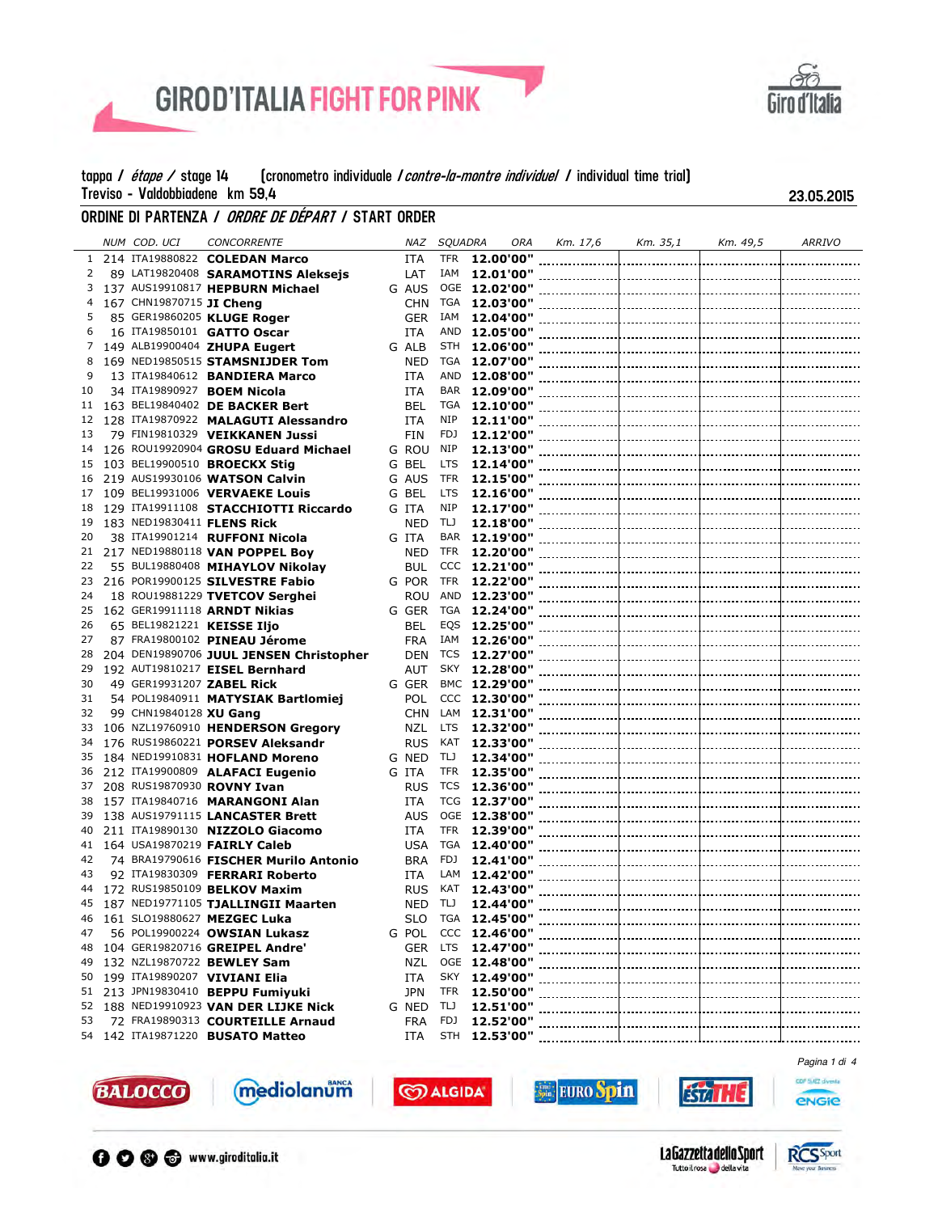



## ORDINE DI PARTENZA *i ordre de départ i* start order

|              | NUM COD. UCI             | <b>CONCORRENTE</b>                      | NAZ        | <b>SQUADRA</b> |                 | ORA | Km. 17,6 | Km. 35,1 | Km. 49,5 | <b>ARRIVO</b> |
|--------------|--------------------------|-----------------------------------------|------------|----------------|-----------------|-----|----------|----------|----------|---------------|
| $\mathbf{1}$ |                          | 214 ITA19880822 COLEDAN Marco           | <b>ITA</b> | <b>TFR</b>     | 12.00'00"       |     |          |          |          |               |
| 2            |                          | 89 LAT19820408 SARAMOTINS Aleksejs      | LAT        | IAM            | 12.01'00"       |     |          |          |          |               |
| 3            |                          | 137 AUS19910817 HEPBURN Michael         | G AUS      |                | OGE 12.02'00"   |     |          |          |          |               |
| 4            | 167 CHN19870715 JI Cheng |                                         | <b>CHN</b> | TGA            | 12.03'00"       |     |          |          |          |               |
| 5            |                          | 85 GER19860205 KLUGE Roger              | <b>GER</b> | IAM            | 12.04'00"       |     |          |          |          |               |
| 6            |                          | 16 ITA19850101 GATTO Oscar              | <b>ITA</b> | AND            | 12.05'00"       |     |          |          |          |               |
| 7            |                          | 149 ALB19900404 ZHUPA Eugert            | G ALB      | STH            | 12.06'00"       |     |          |          |          |               |
| 8            |                          | 169 NED19850515 STAMSNIJDER Tom         |            | TGA            |                 |     |          |          |          |               |
| 9            |                          |                                         | <b>NED</b> |                | 12.07'00"       |     |          |          |          |               |
|              |                          | 13 ITA19840612 BANDIERA Marco           | <b>ITA</b> | AND            |                 |     |          |          |          |               |
| 10           |                          | 34 ITA19890927 BOEM Nicola              | <b>ITA</b> | BAR            | 12.09'00"       |     |          |          |          |               |
| 11           |                          | 163 BEL19840402 DE BACKER Bert          | <b>BEL</b> | TGA            | 12.10'00"       |     |          |          |          |               |
| 12           |                          | 128 ITA19870922 MALAGUTI Alessandro     | ITA        | NIP            |                 |     |          |          |          |               |
| 13           |                          | 79 FIN19810329 VEIKKANEN Jussi          | <b>FIN</b> | FDJ            | 12.12'00"       |     |          |          |          |               |
| 14           |                          | 126 ROU19920904 GROSU Eduard Michael    | G ROU      | NIP            | 12.13'00"       |     |          |          |          |               |
| 15           |                          | 103 BEL19900510 <b>BROECKX Stig</b>     | G BEL      | <b>LTS</b>     |                 |     |          |          |          |               |
| 16           |                          | 219 AUS19930106 WATSON Calvin           | G AUS      | <b>TFR</b>     | 12.15'00"       |     |          |          |          |               |
| 17           |                          | 109 BEL19931006 VERVAEKE Louis          | G BEL      | <b>LTS</b>     |                 |     |          |          |          |               |
| 18           |                          | 129 ITA19911108 STACCHIOTTI Riccardo    | G ITA      | <b>NIP</b>     | 12.17'00"       |     |          |          |          |               |
| 19           |                          | 183 NED19830411 FLENS Rick              | <b>NED</b> | TIJ            | 12.18'00"       |     |          |          |          |               |
| 20           |                          | 38 ITA19901214 RUFFONI Nicola           | G ITA      | BAR            |                 |     |          |          |          |               |
| 21           |                          | 217 NED19880118 VAN POPPEL Boy          | <b>NED</b> | <b>TFR</b>     | 12.20'00"       |     |          |          |          |               |
| 22           |                          | 55 BUL19880408 MIHAYLOV Nikolay         | <b>BUL</b> |                | CCC 12.21'00"   |     |          |          |          |               |
| 23           |                          | 216 POR19900125 SILVESTRE Fabio         | G POR      | <b>TFR</b>     | 12.22'00"       |     |          |          |          |               |
| 24           |                          | 18 ROU19881229 TVETCOV Serghei          | <b>ROU</b> |                | AND 12.23'00"   |     |          |          |          |               |
| 25           |                          | 162 GER19911118 ARNDT Nikias            | G GER      | TGA            | 12.24'00"       |     |          |          |          |               |
| 26           |                          | 65 BEL19821221 KEISSE Iljo              | BEL        | EQS            | 12.25'00"       |     |          |          |          |               |
| 27           |                          | 87 FRA19800102 PINEAU Jérome            | <b>FRA</b> | IAM            | 12.26'00"       |     |          |          |          |               |
| 28           |                          | 204 DEN19890706 JUUL JENSEN Christopher | <b>DEN</b> | <b>TCS</b>     | 12.27'00"       |     |          |          |          |               |
| 29           |                          | 192 AUT19810217 EISEL Bernhard          | AUT        | SKY            | 12.28'00"       |     |          |          |          |               |
| 30           |                          | 49 GER19931207 ZABEL Rick               |            |                |                 |     |          |          |          |               |
|              |                          |                                         | G GER      |                | BMC 12.29'00"   |     |          |          |          |               |
| 31           |                          | 54 POL19840911 MATYSIAK Bartlomiej      | <b>POL</b> |                | $CCC$ 12.30'00" |     |          |          |          |               |
| 32           | 99 CHN19840128 XU Gang   |                                         | <b>CHN</b> | LAM            | 12.31'00"       |     |          |          |          |               |
| 33           |                          | 106 NZL19760910 HENDERSON Gregory       | <b>NZL</b> | LTS.           | 12.32'00"       |     |          |          |          |               |
| 34           |                          | 176 RUS19860221 PORSEV Aleksandr        | <b>RUS</b> | KAT            |                 |     |          |          |          |               |
| 35           |                          | 184 NED19910831 HOFLAND Moreno          | G NED      | TIJ            | 12.34'00"       |     |          |          |          |               |
| 36           |                          | 212 ITA19900809 ALAFACI Eugenio         | G ITA      | TFR            | 12.35'00"       |     |          |          |          |               |
| 37           |                          | 208 RUS19870930 ROVNY Ivan              | <b>RUS</b> | TCS            |                 |     |          |          |          |               |
| 38           |                          | 157 ITA19840716 MARANGONI Alan          | <b>ITA</b> |                | TCG 12.37'00"   |     |          |          |          |               |
| 39           |                          | 138 AUS19791115 LANCASTER Brett         | AUS        |                | OGE 12.38'00"   |     |          |          |          |               |
| 40           |                          | 211 ITA19890130 NIZZOLO Giacomo         | ITA        | <b>TFR</b>     | 12.39'00"       |     |          |          |          |               |
| 41           |                          | 164 USA19870219 <b>FAIRLY Caleb</b>     | <b>USA</b> | TGA            | 12.40'00"       |     |          |          |          |               |
| 42           |                          | 74 BRA19790616 FISCHER Murilo Antonio   | <b>BRA</b> | FDJ            | 12.41'00"       |     |          |          |          |               |
| 43           |                          | 92 ITA19830309 FERRARI Roberto          | <b>ITA</b> | LAM            | 12.42'00"       |     |          |          |          |               |
| 44           |                          | 172 RUS19850109 BELKOV Maxim            | <b>RUS</b> | KAT            | 12.43'00"       |     |          |          |          |               |
| 45           |                          | 187 NED19771105 TJALLINGII Maarten      | NED        | TIJ            | 12.44'00"       |     |          |          |          |               |
| 46           |                          | 161 SL019880627 MEZGEC Luka             | <b>SLO</b> |                | TGA 12.45'00"   |     |          |          |          |               |
| 47           |                          | 56 POL19900224 OWSIAN Lukasz            |            |                |                 |     |          |          |          |               |
| 48           |                          | 104 GER19820716 GREIPEL Andre'          | GER        | LTS            | 12.47'00"       |     |          |          |          |               |
| 49           |                          | 132 NZL19870722 BEWLEY Sam              | NZL        |                | OGE 12.48'00"   |     |          |          |          |               |
| 50           |                          | 199 ITA19890207 VIVIANI Elia            | <b>ITA</b> | SKY            | 12.49'00"       |     |          |          |          |               |
| 51           |                          | 213 JPN19830410 BEPPU Fumiyuki          | <b>JPN</b> | TFR            | 12.50'00"       |     |          |          |          |               |
| 52           |                          | 188 NED19910923 VAN DER LIJKE Nick      | G NED      | TLJ            | 12.51'00"       |     |          |          |          |               |
| 53           |                          | 72 FRA19890313 COURTEILLE Arnaud        | <b>FRA</b> | FDJ            | 12.52'00"       |     |          |          |          |               |
|              |                          | 54 142 ITA19871220 BUSATO Matteo        | ITA        |                | STH 12.53'00"   |     |          |          |          |               |
|              |                          |                                         |            |                |                 |     |          |          |          |               |
|              |                          |                                         |            |                |                 |     |          |          |          | Pagina 1 di 4 |

**CO ALGIDA** 



mediolanum





**isal** 

GDF SUEZ diventa



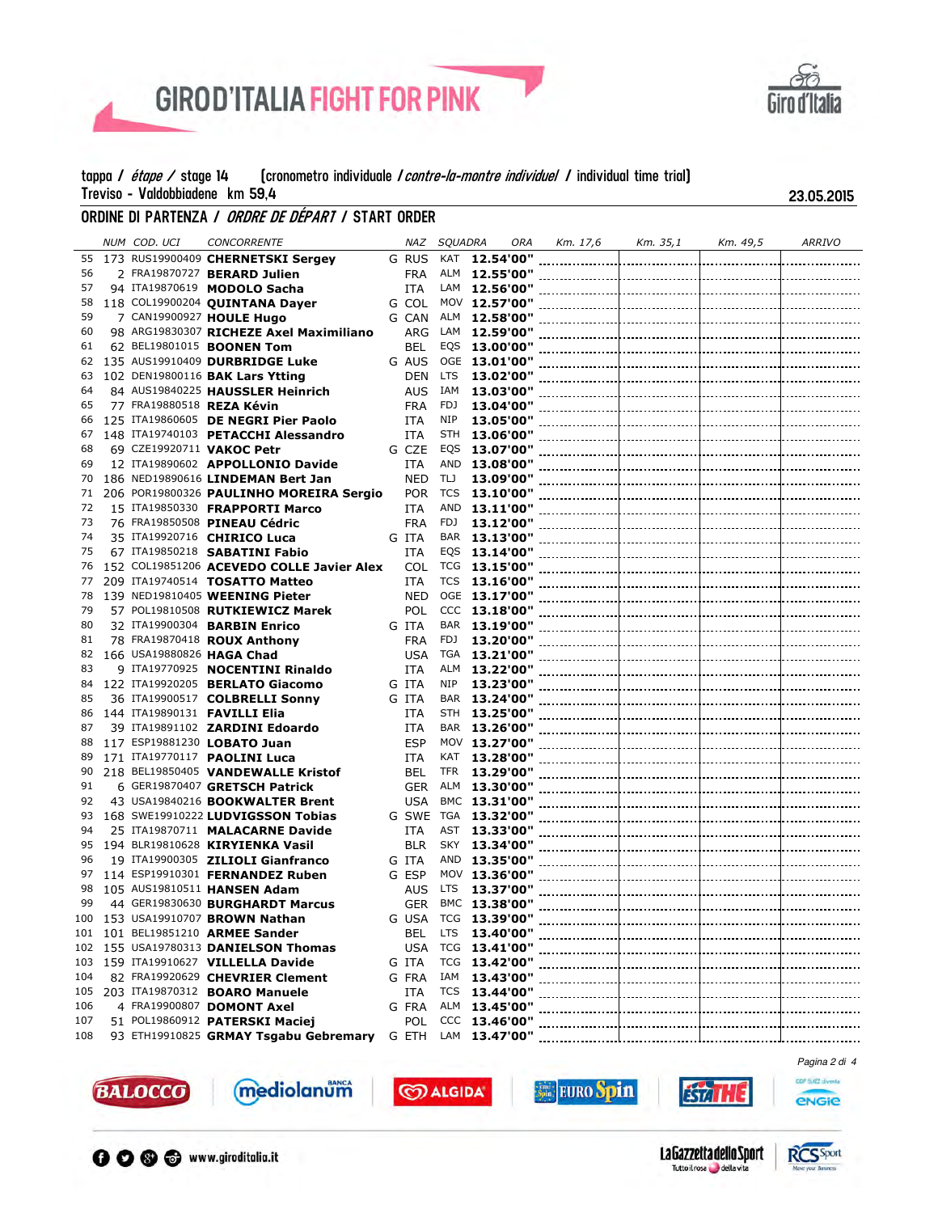



## ORDINE DI PARTENZA *i ordre de départ i* start order

|     | NUM COD. UCI              | <b>CONCORRENTE</b>                          | NAZ        | <b>SOUADRA</b> | ORA                  | Km. 17,6 | Km. 35,1 | Km. 49,5 | ARRIVO              |
|-----|---------------------------|---------------------------------------------|------------|----------------|----------------------|----------|----------|----------|---------------------|
| 55  |                           | 173 RUS19900409 CHERNETSKI Sergey           | G RUS      | KAT            | 12.54'00"            |          |          |          |                     |
| 56  |                           | 2 FRA19870727 BERARD Julien                 | <b>FRA</b> | ALM            | 12.55'00"            |          |          |          |                     |
| 57  |                           | 94 ITA19870619 MODOLO Sacha                 | <b>ITA</b> | LAM            | 12.56'00"            |          |          |          |                     |
| 58  |                           | 118 COL19900204 QUINTANA Dayer              | G COL      |                | MOV 12.57'00"        |          |          |          |                     |
| 59  |                           | 7 CAN19900927 HOULE Hugo                    | G CAN      | ALM            | 12.58'00"            |          |          |          |                     |
| 60  |                           | 98 ARG19830307 RICHEZE Axel Maximiliano     | ARG        | LAM            | 12.59'00"            |          |          |          |                     |
| 61  |                           |                                             |            |                |                      |          |          |          |                     |
|     |                           | 62 BEL19801015 <b>BOONEN Tom</b>            | BEL        | EQS            | 13.00'00"            |          |          |          |                     |
| 62  |                           | 135 AUS19910409 DURBRIDGE Luke              | G AUS      | OGE            | 13.01'00"            |          |          |          |                     |
| 63  |                           | 102 DEN19800116 BAK Lars Ytting             | <b>DEN</b> | LTS            |                      |          |          |          |                     |
| 64  |                           | 84 AUS19840225 HAUSSLER Heinrich            | AUS        | IAM            |                      |          |          |          |                     |
| 65  |                           | 77 FRA19880518 REZA Kévin                   | <b>FRA</b> | FDJ            | 13.04'00"            |          |          |          |                     |
| 66  |                           | 125 ITA19860605 DE NEGRI Pier Paolo         | ITA        | NIP            | 13.05'00"            |          |          |          |                     |
| 67  |                           | 148 ITA19740103 PETACCHI Alessandro         | ITA        | STH            | 13.06'00"            |          |          |          |                     |
| 68  |                           | 69 CZE19920711 VAKOC Petr                   | G CZE      | EQS            | 13.07'00"            |          |          |          |                     |
| 69  |                           | 12 ITA19890602 APPOLLONIO Davide            | ITA        | AND            | 13.08'00"            |          |          |          |                     |
| 70  |                           | 186 NED19890616 LINDEMAN Bert Jan           | <b>NED</b> | TIJ            | 13.09'00"            |          |          |          |                     |
| 71  |                           | 206 POR19800326 PAULINHO MOREIRA Sergio     | <b>POR</b> | <b>TCS</b>     | 13.10'00"            |          |          |          |                     |
| 72  |                           | 15 ITA19850330 FRAPPORTI Marco              | ITA        | AND            | 13.11'00"            |          |          |          |                     |
| 73  |                           | 76 FRA19850508 PINEAU Cédric                | <b>FRA</b> | FDJ            | 13.12'00"            |          |          |          |                     |
| 74  |                           | 35 ITA19920716 CHIRICO Luca                 | G ITA      | BAR            | 13.13'00"            |          |          |          |                     |
| 75  |                           | 67 ITA19850218 SABATINI Fabio               | ITA        | EQS            | 13.14'00"            |          |          |          |                     |
| 76  |                           | 152 COL19851206 ACEVEDO COLLE Javier Alex   | COL        | <b>TCG</b>     | 13.15'00"            |          |          |          |                     |
| 77  |                           | 209 ITA19740514 TOSATTO Matteo              | ITA        | TCS            | 13.16'00"            |          |          |          |                     |
| 78  |                           | 139 NED19810405 WEENING Pieter              | <b>NED</b> |                | OGE 13.17'00"        |          |          |          |                     |
| 79  |                           | 57 POL19810508 RUTKIEWICZ Marek             | POL        | CCC            | 13.18'00"            |          |          |          |                     |
| 80  |                           |                                             |            |                |                      |          |          |          |                     |
|     |                           | 32 ITA19900304 <b>BARBIN Enrico</b>         | G ITA      | FDJ            | BAR 13.19'00"        |          |          |          |                     |
| 81  |                           | 78 FRA19870418 ROUX Anthony                 | <b>FRA</b> |                | 13.20'00"            |          |          |          |                     |
| 82  | 166 USA19880826 HAGA Chad |                                             | <b>USA</b> | TGA            | 13.21'00"            |          |          |          |                     |
| 83  |                           | 9 ITA19770925 NOCENTINI Rinaldo             | <b>ITA</b> | ALM            | 13.22'00"            |          |          |          |                     |
| 84  |                           | 122 ITA19920205 BERLATO Giacomo             | G ITA      | NIP            | 13.23'00"            |          |          |          |                     |
| 85  |                           | 36 ITA19900517 COLBRELLI Sonny              | G ITA      | BAR            | 13.24'00"            |          |          |          |                     |
| 86  |                           | 144 ITA19890131 <b>FAVILLI Elia</b>         | ITA        | STH            | 13.25'00"            |          |          |          |                     |
| 87  |                           | 39 ITA19891102 ZARDINI Edoardo              | ITA        | <b>BAR</b>     | 13.26'00"            |          |          |          |                     |
| 88  |                           | 117 ESP19881230 LOBATO Juan                 | <b>ESP</b> | MOV            | 13.27'00"            |          |          |          |                     |
| 89  |                           | 171 ITA19770117 PAOLINI Luca                | <b>ITA</b> | KAT            | 13.28'00"            |          |          |          |                     |
| 90  |                           | 218 BEL19850405 VANDEWALLE Kristof          | BEL        | TFR            | 13.29'00"            |          |          |          |                     |
| 91  |                           | 6 GER19870407 GRETSCH Patrick               | <b>GER</b> | ALM            | 13.30'00"            |          |          |          |                     |
| 92  |                           | 43 USA19840216 BOOKWALTER Brent             | <b>USA</b> |                | BMC 13.31'00"        |          |          |          |                     |
| 93  |                           | 168 SWE19910222 LUDVIGSSON Tobias           | G SWE      | TGA            | 13.32'00"            |          |          |          |                     |
| 94  |                           | 25 ITA19870711 MALACARNE Davide             | <b>ITA</b> | AST            | 13.33'00"            |          |          |          |                     |
| 95  |                           | 194 BLR19810628 KIRYIENKA Vasil             | <b>BLR</b> | SKY            | 13.34'00"            |          |          |          |                     |
| 96  |                           | 19 ITA19900305 ZILIOLI Gianfranco           | G ITA      |                | AND 13.35'00"        |          |          |          |                     |
| 97  |                           | 114 ESP19910301 FERNANDEZ Ruben             | G ESP      |                | MOV 13.36'00"        |          |          |          |                     |
| 98  |                           | 105 AUS19810511 HANSEN Adam                 | AUS        | LTS            | 13.37'00"            |          |          |          |                     |
| 99  |                           | 44 GER19830630 BURGHARDT Marcus             | <b>GER</b> |                | BMC 13.38'00"        |          |          |          |                     |
| 100 |                           |                                             | G USA      |                | TCG 13.39'00"        |          |          |          |                     |
|     |                           | 153 USA19910707 BROWN Nathan                |            |                |                      |          |          |          |                     |
|     |                           | 101 101 BEL19851210 ARMEE Sander            |            |                |                      |          |          |          |                     |
|     |                           | 102 155 USA19780313 DANIELSON Thomas        | USA        |                | TCG 13.41'00"        |          |          |          |                     |
| 103 |                           | 159 ITA19910627 VILLELLA Davide             | G ITA      |                | <b>TCG 13.42'00"</b> |          |          |          |                     |
| 104 |                           | 82 FRA19920629 CHEVRIER Clement             | G FRA      | IAM            | 13.43'00"            |          |          |          |                     |
| 105 |                           | 203 ITA19870312 <b>BOARO Manuele</b>        | ITA        |                | <b>TCS 13.44'00"</b> |          |          |          |                     |
| 106 |                           | 4 FRA19900807 DOMONT Axel                   | G FRA      |                |                      |          |          |          |                     |
| 107 |                           | 51 POL19860912 PATERSKI Maciej              | POL        |                | CCC 13.46'00"        |          |          |          | ------------------- |
| 108 |                           | 93 ETH19910825 GRMAY Tsgabu Gebremary G ETH |            |                | LAM 13.47'00"        |          |          |          |                     |
|     |                           |                                             |            |                |                      |          |          |          |                     |
|     |                           |                                             |            |                |                      |          |          |          | Pagina 2 di 4       |

**CO ALGIDA** 



mediolanum



**isal** 

**EURO Spin** 



GDF SUEZ diventa

**ENGIE**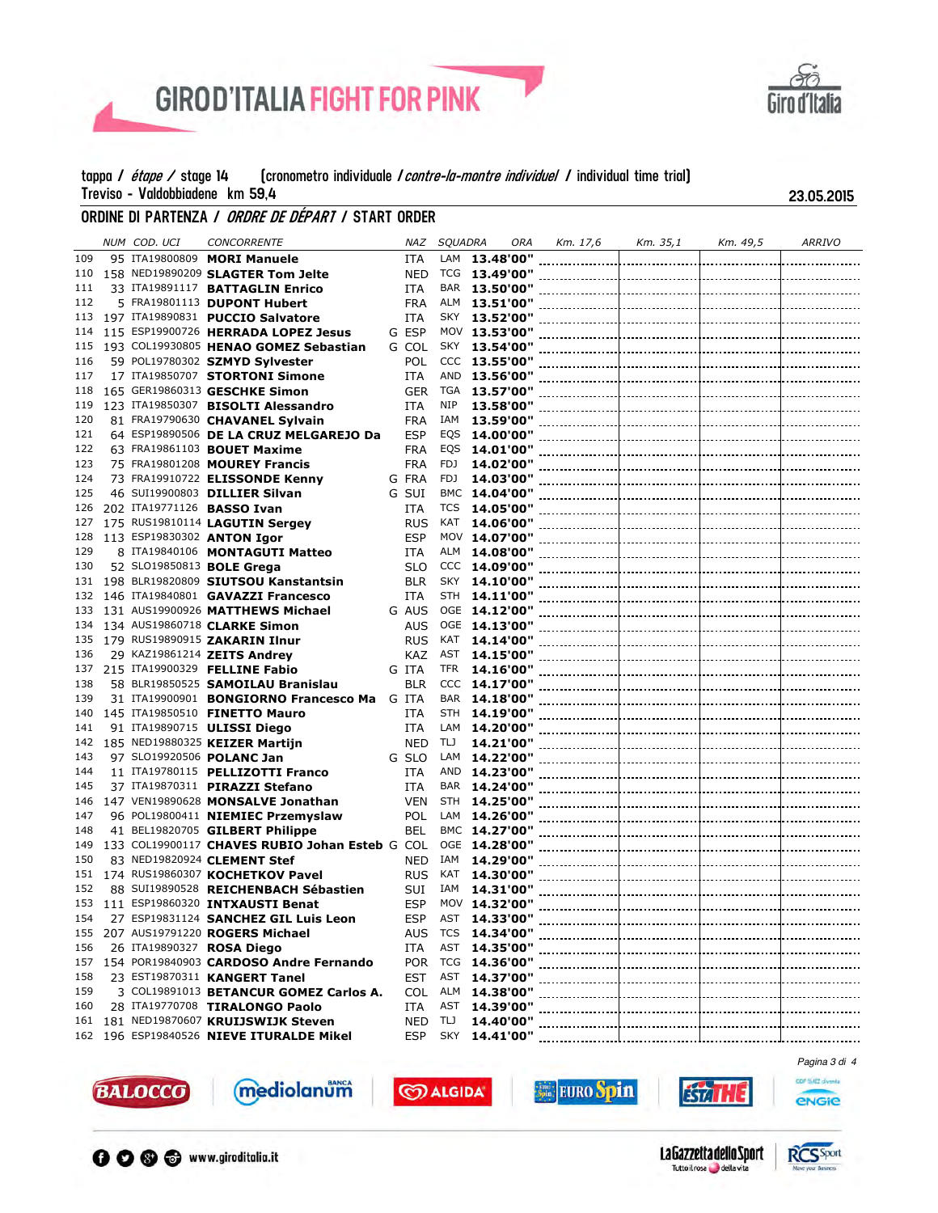



# ORDINE DI PARTENZA *i ordre de départ i* start order

|            | NUM COD. UCI | <b>CONCORRENTE</b>                                          | NAZ        | <b>SQUADRA</b> |                   | ORA | Km. 17,6 | Km. 35,1 | Km. 49,5 | <b>ARRIVO</b> |
|------------|--------------|-------------------------------------------------------------|------------|----------------|-------------------|-----|----------|----------|----------|---------------|
| 109        |              | 95 ITA19800809 MORI Manuele                                 | ITA        | LAM            | 13.48'00"         |     |          |          |          |               |
| 110        |              | 158 NED19890209 SLAGTER Tom Jelte                           | <b>NED</b> | TCG            | 13.49'00"         |     |          |          |          |               |
| 111        |              | 33 ITA19891117 BATTAGLIN Enrico                             | <b>ITA</b> | BAR            | 13.50'00"         |     |          |          |          |               |
| 112        |              | 5 FRA19801113 DUPONT Hubert                                 | <b>FRA</b> | ALM            | 13.51'00"         |     |          |          |          |               |
| 113        |              | 197 ITA19890831 PUCCIO Salvatore                            | <b>ITA</b> | SKY            | 13.52'00"         |     |          |          |          |               |
| 114        |              | 115 ESP19900726 HERRADA LOPEZ Jesus                         | G ESP      |                | MOV 13.53'00"     |     |          |          |          |               |
| 115        |              | 193 COL19930805 HENAO GOMEZ Sebastian                       | G COL      | SKY            | 13.54'00"         |     |          |          |          |               |
| 116        |              | 59 POL19780302 SZMYD Sylvester                              | <b>POL</b> |                | CCC 13.55'00"     |     |          |          |          |               |
| 117        |              | 17 ITA19850707 STORTONI Simone                              | ITA        | AND            | 13.56'00"         |     |          |          |          |               |
| 118        |              | 165 GER19860313 GESCHKE Simon                               | <b>GER</b> | TGA            | 13.57'00"         |     |          |          |          |               |
| 119        |              | 123 ITA19850307 BISOLTI Alessandro                          | <b>ITA</b> | NIP            | 13.58'00"         |     |          |          |          |               |
| 120        |              | 81 FRA19790630 CHAVANEL Sylvain                             | <b>FRA</b> | IAM            | 13.59'00"         |     |          |          |          |               |
| 121        |              | 64 ESP19890506 DE LA CRUZ MELGAREJO Da                      | <b>ESP</b> | EQS            | 14.00'00"         |     |          |          |          |               |
| 122        |              | 63 FRA19861103 BOUET Maxime                                 | <b>FRA</b> | EQS            | 14.01'00"         |     |          |          |          |               |
| 123        |              | 75 FRA19801208 MOUREY Francis                               | <b>FRA</b> | FDJ            | 14.02'00"         |     |          |          |          |               |
| 124        |              | 73 FRA19910722 ELISSONDE Kenny                              | G FRA      | FDJ            | 14.03'00"         |     |          |          |          |               |
| 125        |              | 46 SUI19900803 DILLIER Silvan                               | G SUI      |                | BMC 14.04'00"     |     |          |          |          |               |
| 126        |              | 202 ITA19771126 <b>BASSO Ivan</b>                           | <b>ITA</b> | <b>TCS</b>     | 14.05'00"         |     |          |          |          |               |
| 127        |              | 175 RUS19810114 LAGUTIN Sergey                              | <b>RUS</b> | KAT            | 14.06'00"         |     |          |          |          |               |
| 128        |              | 113 ESP19830302 ANTON Igor                                  | <b>ESP</b> |                | MOV 14.07'00"     |     |          |          |          |               |
| 129        |              | 8 ITA19840106 MONTAGUTI Matteo                              | <b>ITA</b> | ALM            | 14.08'00"         |     |          |          |          |               |
| 130        |              | 52 SL019850813 <b>BOLE Grega</b>                            | <b>SLO</b> |                | CCC 14.09'00"     |     |          |          |          |               |
| 131        |              | 198 BLR19820809 SIUTSOU Kanstantsin                         | <b>BLR</b> | SKY            | 14.10'00"         |     |          |          |          |               |
| 132        |              | 146 ITA19840801 GAVAZZI Francesco                           | <b>ITA</b> | STH            | 14.11'00"         |     |          |          |          |               |
| 133        |              | 131 AUS19900926 MATTHEWS Michael                            | G AUS      |                | OGE 14.12'00"     |     |          |          |          |               |
| 134        |              | 134 AUS19860718 CLARKE Simon                                | AUS        |                | OGE 14.13'00"     |     |          |          |          |               |
| 135        |              | 179 RUS19890915 ZAKARIN Ilnur                               | <b>RUS</b> | KAT            | 14.14'00"         |     |          |          |          |               |
| 136        |              | 29 KAZ19861214 ZEITS Andrey                                 | KAZ        | AST            | 14.15'00"         |     |          |          |          |               |
| 137        |              | 215 ITA19900329 <b>FELLINE Fabio</b>                        | G ITA      | <b>TFR</b>     | 14.16'00"         |     |          |          |          |               |
| 138        |              |                                                             | <b>BLR</b> |                |                   |     |          |          |          |               |
| 139        |              | 58 BLR19850525 SAMOILAU Branislau                           |            | BAR            | CCC 14.17'00"     |     |          |          |          |               |
|            |              | 31 ITA19900901 BONGIORNO Francesco Ma                       | G ITA      | STH            | 14.18'00"         |     |          |          |          |               |
| 140<br>141 |              | 145 ITA19850510 <b>FINETTO Mauro</b>                        | ITA        | LAM            | 14.19'00"         |     |          |          |          |               |
|            |              | 91 ITA19890715 ULISSI Diego                                 | <b>ITA</b> |                | 14.20'00"         |     |          |          |          |               |
| 142<br>143 |              | 185 NED19880325 KEIZER Martijn<br>97 SL019920506 POLANC Jan | <b>NED</b> | TIJ<br>LAM     | 14.21'00"         |     |          |          |          |               |
|            |              |                                                             | G SLO      |                | 14.22'00"         |     |          |          |          |               |
| 144        |              | 11 ITA19780115 PELLIZOTTI Franco                            | <b>ITA</b> | AND            | 14.23'00"         |     |          |          |          |               |
| 145        |              | 37 ITA19870311 PIRAZZI Stefano                              | <b>ITA</b> | BAR            | 14.24'00"         |     |          |          |          |               |
| 146        |              | 147 VEN19890628 MONSALVE Jonathan                           | <b>VEN</b> | STH            | 14.25'00"         |     |          |          |          |               |
| 147        |              | 96 POL19800411 NIEMIEC Przemyslaw                           | <b>POL</b> | LAM            | 14.26'00"         |     |          |          |          |               |
| 148        |              | 41 BEL19820705 GILBERT Philippe                             | <b>BEL</b> |                | BMC 14.27'00"     |     |          |          |          |               |
| 149        |              | 133 COL19900117 CHAVES RUBIO Johan Esteb G COL              |            |                | OGE 14.28'00"     |     |          |          |          |               |
| 150        |              | 83 NED19820924 CLEMENT Stef                                 | <b>NED</b> | IAM            | 14.29'00"         |     |          |          |          |               |
| 151        |              | 174 RUS19860307 KOCHETKOV Pavel                             | <b>RUS</b> | KAT            | 14.30'00"         |     |          |          |          |               |
| 152        |              | 88 SUI19890528 REICHENBACH Sébastien                        | SUI        | IAM            | 14.31'00"         |     |          |          |          |               |
|            |              | 153 111 ESP19860320 INTXAUSTI Benat                         | <b>ESP</b> |                | MOV 14.32'00"     |     |          |          |          |               |
| 154        |              | 27 ESP19831124 SANCHEZ GIL Luis Leon                        | <b>ESP</b> |                | AST 14.33'00"     |     |          |          |          |               |
|            |              | 155 207 AUS19791220 ROGERS Michael                          |            |                |                   |     |          |          |          |               |
| 156        |              | 26 ITA19890327 ROSA Diego                                   | <b>ITA</b> | AST            | 14.35'00"         |     |          |          |          |               |
|            |              | 157 154 POR19840903 CARDOSO Andre Fernando                  |            |                | POR TCG 14.36'00" |     |          |          |          |               |
| 158        |              | 23 EST19870311 KANGERT Tanel                                | <b>EST</b> | AST            | 14.37'00"         |     |          |          |          |               |
| 159        |              | 3 COL19891013 BETANCUR GOMEZ Carlos A.                      |            | COL ALM        | 14.38'00"         |     |          |          |          |               |
| 160        |              | 28 ITA19770708 TIRALONGO Paolo                              | ITA        | AST            | 14.39'00"         |     |          |          |          |               |
|            |              | 161 181 NED19870607 KRUIJSWIJK Steven                       | NED TLJ    |                | 14.40'00"         |     |          |          |          |               |
|            |              | 162 196 ESP19840526 NIEVE ITURALDE Mikel                    | <b>ESP</b> | SKY            | 14.41'00"         |     |          |          |          |               |
|            |              |                                                             |            |                |                   |     |          |          |          |               |

**SALGIDA** 



O O <sup>®</sup> www.giroditalia.it

mediolanum









**isal**